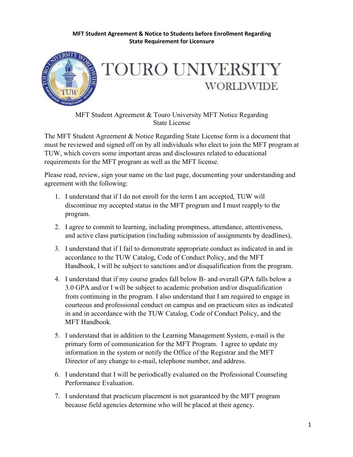



MFT Student Agreement & Touro University MFT Notice Regarding State License

The MFT Student Agreement & Notice Regarding State License form is a document that must be reviewed and signed off on by all individuals who elect to join the MFT program at TUW, which covers some important areas and disclosures related to educational requirements for the MFT program as well as the MFT license.

Please read, review, sign your name on the last page, documenting your understanding and agreement with the following:

- 1. I understand that if I do not enroll for the term I am accepted, TUW will discontinue my accepted status in the MFT program and I must reapply to the program.
- 2. I agree to commit to learning, including promptness, attendance, attentiveness, and active class participation (including submission of assignments by deadlines),
- 3. I understand that if I fail to demonstrate appropriate conduct as indicated in and in accordance to the TUW Catalog, Code of Conduct Policy, and the MFT Handbook, I will be subject to sanctions and/or disqualification from the program.
- 4. I understand that if my course grades fall below B- and overall GPA falls below a 3.0 GPA and/or I will be subject to academic probation and/or disqualification from continuing in the program. I also understand that I am required to engage in courteous and professional conduct on campus and on practicum sites as indicated in and in accordance with the TUW Catalog, Code of Conduct Policy, and the MFT Handbook.
- 5. I understand that in addition to the Learning Management System, e-mail is the primary form of communication for the MFT Program. I agree to update my information in the system or notify the Office of the Registrar and the MFT Director of any change to e-mail, telephone number, and address.
- 6. I understand that I will be periodically evaluated on the Professional Counseling Performance Evaluation.
- 7. I understand that practicum placement is not guaranteed by the MFT program because field agencies determine who will be placed at their agency.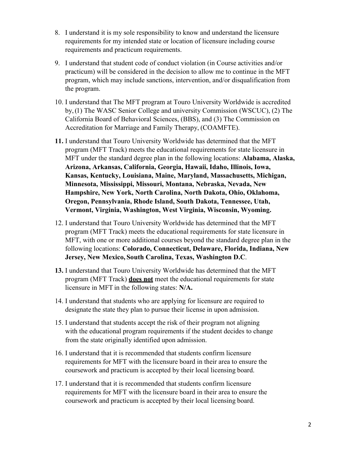- 8. I understand it is my sole responsibility to know and understand the licensure requirements for my intended state or location of licensure including course requirements and practicum requirements.
- 9. I understand that student code of conduct violation (in Course activities and/or practicum) will be considered in the decision to allow me to continue in the MFT program, which may include sanctions, intervention, and/or disqualification from the program.
- 10. I understand that The MFT program at Touro University Worldwide is accredited by,(1) The WASC Senior College and university Commission (WSCUC), (2) The California Board of Behavioral Sciences, (BBS), and (3) The Commission on Accreditation for Marriage and Family Therapy, (COAMFTE).
- **11.** I understand that Touro University Worldwide has determined that the MFT program (MFT Track) meets the educational requirements for state licensure in MFT under the standard degree plan in the following locations: **Alabama, Alaska, Arizona, Arkansas, California, Georgia, Hawaii, Idaho, Illinois, Iowa, Kansas, Kentucky, Louisiana, Maine, Maryland, Massachusetts, Michigan, Minnesota, Mississippi, Missouri, Montana, Nebraska, Nevada, New Hampshire, New York, North Carolina, North Dakota, Ohio, Oklahoma, Oregon, Pennsylvania, Rhode Island, South Dakota, Tennessee, Utah, Vermont, Virginia, Washington, West Virginia, Wisconsin, Wyoming.**
- 12. I understand that Touro University Worldwide has determined that the MFT program (MFT Track) meets the educational requirements for state licensure in MFT, with one or more additional courses beyond the standard degree plan in the following locations: **Colorado, Connecticut, Delaware, Florida, Indiana, New Jersey, New Mexico, South Carolina, Texas, Washington D.C**.
- **13.** I understand that Touro University Worldwide has determined that the MFT program (MFT Track) **does not** meet the educational requirements for state licensure in MFT in the following states: **N/A.**
- 14. I understand that students who are applying for licensure are required to designate the state they plan to pursue their license in upon admission.
- 15. I understand that students accept the risk of their program not aligning with the educational program requirements if the student decides to change from the state originally identified upon admission.
- 16. I understand that it is recommended that students confirm licensure requirements for MFT with the licensure board in their area to ensure the coursework and practicum is accepted by their local licensing board.
- 17. I understand that it is recommended that students confirm licensure requirements for MFT with the licensure board in their area to ensure the coursework and practicum is accepted by their local licensing board.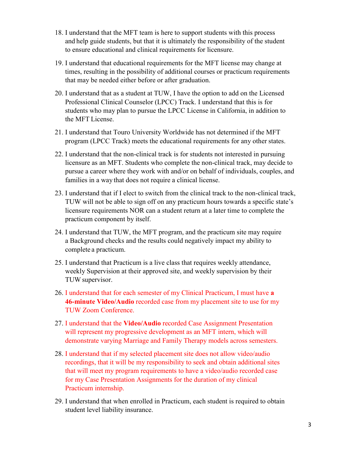- 18. I understand that the MFT team is here to support students with this process and help guide students, but that it is ultimately the responsibility of the student to ensure educational and clinical requirements for licensure.
- 19. I understand that educational requirements for the MFT license may change at times, resulting in the possibility of additional courses or practicum requirements that may be needed either before or after graduation.
- 20. I understand that as a student at TUW, I have the option to add on the Licensed Professional Clinical Counselor (LPCC) Track. I understand that this is for students who may plan to pursue the LPCC License in California, in addition to the MFT License.
- 21. I understand that Touro University Worldwide has not determined if the MFT program (LPCC Track) meets the educational requirements for any other states.
- 22. I understand that the non-clinical track is for students not interested in pursuing licensure as an MFT. Students who complete the non-clinical track, may decide to pursue a career where they work with and/or on behalf of individuals, couples, and families in a way that does not require a clinical license.
- 23. I understand that if I elect to switch from the clinical track to the non-clinical track, TUW will not be able to sign off on any practicum hours towards a specific state's licensure requirements NOR can a student return at a later time to complete the practicum component by itself.
- 24. I understand that TUW, the MFT program, and the practicum site may require a Background checks and the results could negatively impact my ability to complete a practicum.
- 25. I understand that Practicum is a live class that requires weekly attendance, weekly Supervision at their approved site, and weekly supervision by their TUW supervisor.
- 26. I understand that for each semester of my Clinical Practicum, I must have **a 46-minute Video/Audio** recorded case from my placement site to use for my TUW Zoom Conference.
- 27. I understand that the **Video/Audio** recorded Case Assignment Presentation will represent my progressive development as an MFT intern, which will demonstrate varying Marriage and Family Therapy models across semesters.
- 28. I understand that if my selected placement site does not allow video/audio recordings, that it will be my responsibility to seek and obtain additional sites that will meet my program requirements to have a video/audio recorded case for my Case Presentation Assignments for the duration of my clinical Practicum internship.
- 29. I understand that when enrolled in Practicum, each student is required to obtain student level liability insurance.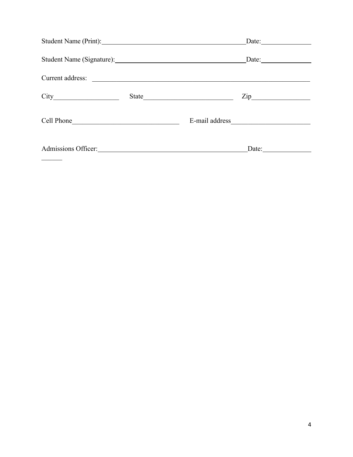|            |       | Date:                        |
|------------|-------|------------------------------|
|            |       | $\text{Date:}$               |
|            |       |                              |
|            | State | $\mathsf{Zip}\_$             |
| Cell Phone |       |                              |
|            |       | Date: $\qquad \qquad \qquad$ |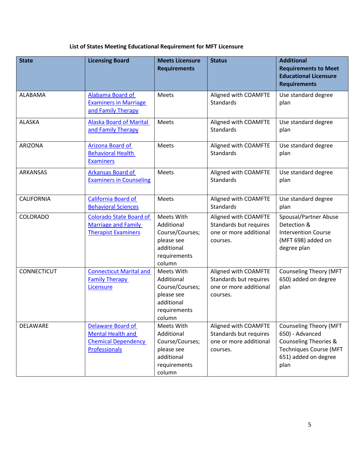## **List of States Meeting Educational Requirement for MFT Licensure**

| <b>State</b>       | <b>Licensing Board</b>                                                                       | <b>Meets Licensure</b><br><b>Requirements</b>                                                     | <b>Status</b>                                                                        | <b>Additional</b><br><b>Requirements to Meet</b><br><b>Educational Licensure</b><br><b>Requirements</b>                                               |
|--------------------|----------------------------------------------------------------------------------------------|---------------------------------------------------------------------------------------------------|--------------------------------------------------------------------------------------|-------------------------------------------------------------------------------------------------------------------------------------------------------|
| <b>ALABAMA</b>     | Alabama Board of<br><b>Examiners in Marriage</b><br>and Family Therapy                       | Meets                                                                                             | Aligned with COAMFTE<br><b>Standards</b>                                             | Use standard degree<br>plan                                                                                                                           |
| <b>ALASKA</b>      | <b>Alaska Board of Marital</b><br>and Family Therapy                                         | Meets                                                                                             | Aligned with COAMFTE<br><b>Standards</b>                                             | Use standard degree<br>plan                                                                                                                           |
| <b>ARIZONA</b>     | Arizona Board of<br><b>Behavioral Health</b><br><b>Examiners</b>                             | Meets                                                                                             | Aligned with COAMFTE<br><b>Standards</b>                                             | Use standard degree<br>plan                                                                                                                           |
| <b>ARKANSAS</b>    | <b>Arkansas Board of</b><br><b>Examiners in Counseling</b>                                   | Meets                                                                                             | Aligned with COAMFTE<br><b>Standards</b>                                             | Use standard degree<br>plan                                                                                                                           |
| CALIFORNIA         | California Board of<br><b>Behavioral Sciences</b>                                            | Meets                                                                                             | Aligned with COAMFTE<br><b>Standards</b>                                             | Use standard degree<br>plan                                                                                                                           |
| <b>COLORADO</b>    | <b>Colorado State Board of</b><br><b>Marriage and Family</b><br><b>Therapist Examiners</b>   | Meets With<br>Additional<br>Course/Courses;<br>please see<br>additional<br>requirements<br>column | Aligned with COAMFTE<br>Standards but requires<br>one or more additional<br>courses. | <b>Spousal/Partner Abuse</b><br>Detection &<br><b>Intervention Course</b><br>(MFT 698) added on<br>degree plan                                        |
| <b>CONNECTICUT</b> | <b>Connecticut Marital and</b><br><b>Family Therapy</b><br>Licensure                         | Meets With<br>Additional<br>Course/Courses;<br>please see<br>additional<br>requirements<br>column | Aligned with COAMFTE<br>Standards but requires<br>one or more additional<br>courses. | <b>Counseling Theory (MFT</b><br>650) added on degree<br>plan                                                                                         |
| DELAWARE           | Delaware Board of<br><b>Mental Health and</b><br><b>Chemical Dependency</b><br>Professionals | Meets With<br>Additional<br>Course/Courses;<br>please see<br>additional<br>requirements<br>column | Aligned with COAMFTE<br>Standards but requires<br>one or more additional<br>courses. | <b>Counseling Theory (MFT</b><br>650) - Advanced<br><b>Counseling Theories &amp;</b><br><b>Techniques Course (MFT</b><br>651) added on degree<br>plan |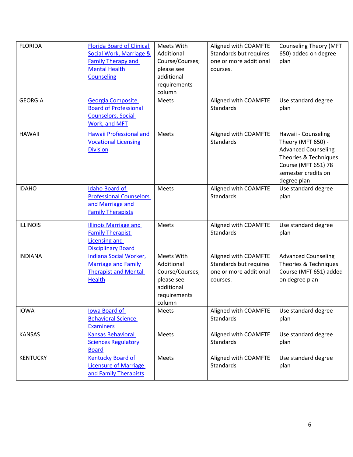| <b>FLORIDA</b><br><b>GEORGIA</b> | <b>Florida Board of Clinical</b><br>Social Work, Marriage &<br><b>Family Therapy and</b><br><b>Mental Health</b><br><b>Counseling</b><br>Georgia Composite<br><b>Board of Professional</b><br><b>Counselors, Social</b> | Meets With<br>Additional<br>Course/Courses;<br>please see<br>additional<br>requirements<br>column<br>Meets | Aligned with COAMFTE<br>Standards but requires<br>one or more additional<br>courses.<br>Aligned with COAMFTE<br><b>Standards</b> | <b>Counseling Theory (MFT</b><br>650) added on degree<br>plan<br>Use standard degree<br>plan     |
|----------------------------------|-------------------------------------------------------------------------------------------------------------------------------------------------------------------------------------------------------------------------|------------------------------------------------------------------------------------------------------------|----------------------------------------------------------------------------------------------------------------------------------|--------------------------------------------------------------------------------------------------|
| <b>HAWAII</b>                    | Work, and MFT<br><b>Hawaii Professional and</b><br><b>Vocational Licensing</b><br><b>Division</b>                                                                                                                       | Meets                                                                                                      | Aligned with COAMFTE<br><b>Standards</b>                                                                                         | Hawaii - Counseling<br>Theory (MFT 650) -<br><b>Advanced Counseling</b><br>Theories & Techniques |
| <b>IDAHO</b>                     | <b>Idaho Board of</b><br><b>Professional Counselors</b><br>and Marriage and                                                                                                                                             | Meets                                                                                                      | Aligned with COAMFTE<br><b>Standards</b>                                                                                         | <b>Course (MFT 651) 78</b><br>semester credits on<br>degree plan<br>Use standard degree<br>plan  |
| <b>ILLINOIS</b>                  | <b>Family Therapists</b><br><b>Illinois Marriage and</b><br><b>Family Therapist</b><br><b>Licensing and</b><br><b>Disciplinary Board</b>                                                                                | Meets                                                                                                      | Aligned with COAMFTE<br><b>Standards</b>                                                                                         | Use standard degree<br>plan                                                                      |
| <b>INDIANA</b>                   | Indiana Social Worker,<br><b>Marriage and Family</b><br><b>Therapist and Mental</b><br><b>Health</b>                                                                                                                    | Meets With<br>Additional<br>Course/Courses;<br>please see<br>additional<br>requirements<br>column          | Aligned with COAMFTE<br>Standards but requires<br>one or more additional<br>courses.                                             | <b>Advanced Counseling</b><br>Theories & Techniques<br>Course (MFT 651) added<br>on degree plan  |
| <b>IOWA</b>                      | <b>Iowa Board of</b><br><b>Behavioral Science</b><br><b>Examiners</b>                                                                                                                                                   | Meets                                                                                                      | Aligned with COAMFTE<br><b>Standards</b>                                                                                         | Use standard degree<br>plan                                                                      |
| <b>KANSAS</b>                    | <b>Kansas Behavioral</b><br><b>Sciences Regulatory</b><br><b>Board</b>                                                                                                                                                  | Meets                                                                                                      | Aligned with COAMFTE<br><b>Standards</b>                                                                                         | Use standard degree<br>plan                                                                      |
| <b>KENTUCKY</b>                  | <b>Kentucky Board of</b><br><b>Licensure of Marriage</b><br>and Family Therapists                                                                                                                                       | Meets                                                                                                      | Aligned with COAMFTE<br>Standards                                                                                                | Use standard degree<br>plan                                                                      |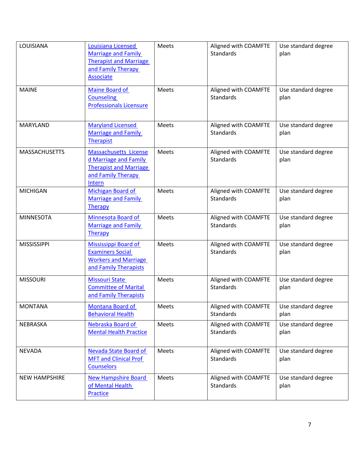| LOUISIANA            | Louisiana Licensed<br><b>Marriage and Family</b><br><b>Therapist and Marriage</b><br>and Family Therapy<br><b>Associate</b> | Meets | Aligned with COAMFTE<br><b>Standards</b> | Use standard degree<br>plan |
|----------------------|-----------------------------------------------------------------------------------------------------------------------------|-------|------------------------------------------|-----------------------------|
| <b>MAINE</b>         | Maine Board of<br><b>Counseling</b><br><b>Professionals Licensure</b>                                                       | Meets | Aligned with COAMFTE<br><b>Standards</b> | Use standard degree<br>plan |
| MARYLAND             | <b>Maryland Licensed</b><br><b>Marriage and Family</b><br><b>Therapist</b>                                                  | Meets | Aligned with COAMFTE<br>Standards        | Use standard degree<br>plan |
| <b>MASSACHUSETTS</b> | <b>Massachusetts License</b><br>d Marriage and Family<br><b>Therapist and Marriage</b><br>and Family Therapy<br>Intern      | Meets | Aligned with COAMFTE<br><b>Standards</b> | Use standard degree<br>plan |
| <b>MICHIGAN</b>      | Michigan Board of<br>Marriage and Family<br>Therapy                                                                         | Meets | Aligned with COAMFTE<br><b>Standards</b> | Use standard degree<br>plan |
| <b>MINNESOTA</b>     | Minnesota Board of<br><b>Marriage and Family</b><br>Therapy                                                                 | Meets | Aligned with COAMFTE<br><b>Standards</b> | Use standard degree<br>plan |
| <b>MISSISSIPPI</b>   | Mississippi Board of<br><b>Examiners Social</b><br><b>Workers and Marriage</b><br>and Family Therapists                     | Meets | Aligned with COAMFTE<br><b>Standards</b> | Use standard degree<br>plan |
| <b>MISSOURI</b>      | <b>Missouri State</b><br><b>Committee of Marital</b><br>and Family Therapists                                               | Meets | Aligned with COAMFTE<br><b>Standards</b> | Use standard degree<br>plan |
| <b>MONTANA</b>       | Montana Board of<br><b>Behavioral Health</b>                                                                                | Meets | Aligned with COAMFTE<br>Standards        | Use standard degree<br>plan |
| NEBRASKA             | Nebraska Board of<br><b>Mental Health Practice</b>                                                                          | Meets | Aligned with COAMFTE<br>Standards        | Use standard degree<br>plan |
| <b>NEVADA</b>        | Nevada State Board of<br><b>MFT and Clinical Prof</b><br><b>Counselors</b>                                                  | Meets | Aligned with COAMFTE<br><b>Standards</b> | Use standard degree<br>plan |
| <b>NEW HAMPSHIRE</b> | <b>New Hampshire Board</b><br>of Mental Health<br>Practice                                                                  | Meets | Aligned with COAMFTE<br>Standards        | Use standard degree<br>plan |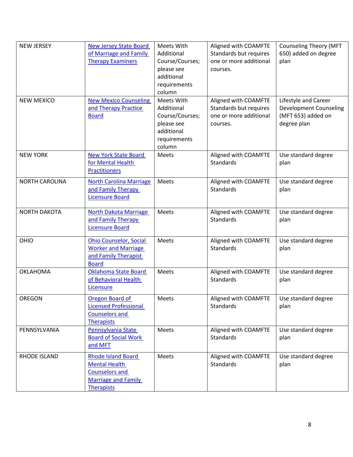| <b>NEW JERSEY</b><br><b>NEW MEXICO</b> | <b>New Jersey State Board</b><br>of Marriage and Family<br><b>Therapy Examiners</b><br><b>New Mexico Counseling</b><br>and Therapy Practice | Meets With<br>Additional<br>Course/Courses;<br>please see<br>additional<br>requirements<br>column<br>Meets With<br>Additional | Aligned with COAMFTE<br>Standards but requires<br>one or more additional<br>courses.<br>Aligned with COAMFTE<br>Standards but requires | <b>Counseling Theory (MFT</b><br>650) added on degree<br>plan<br>Lifestyle and Career<br><b>Development Counseling</b> |
|----------------------------------------|---------------------------------------------------------------------------------------------------------------------------------------------|-------------------------------------------------------------------------------------------------------------------------------|----------------------------------------------------------------------------------------------------------------------------------------|------------------------------------------------------------------------------------------------------------------------|
|                                        | <b>Board</b>                                                                                                                                | Course/Courses;<br>please see<br>additional<br>requirements<br>column                                                         | one or more additional<br>courses.                                                                                                     | (MFT 653) added on<br>degree plan                                                                                      |
| <b>NEW YORK</b>                        | <b>New York State Board</b><br>for Mental Health<br><b>Practitioners</b>                                                                    | Meets                                                                                                                         | Aligned with COAMFTE<br><b>Standards</b>                                                                                               | Use standard degree<br>plan                                                                                            |
| <b>NORTH CAROLINA</b>                  | <b>North Carolina Marriage</b><br>and Family Therapy<br><b>Licensure Board</b>                                                              | Meets                                                                                                                         | Aligned with COAMFTE<br><b>Standards</b>                                                                                               | Use standard degree<br>plan                                                                                            |
| <b>NORTH DAKOTA</b>                    | <b>North Dakota Marriage</b><br>and Family Therapy<br><b>Licensure Board</b>                                                                | Meets                                                                                                                         | Aligned with COAMFTE<br>Standards                                                                                                      | Use standard degree<br>plan                                                                                            |
| OHIO                                   | <b>Ohio Counselor, Social</b><br><b>Worker and Marriage</b><br>and Family Therapist<br><b>Board</b>                                         | Meets                                                                                                                         | Aligned with COAMFTE<br><b>Standards</b>                                                                                               | Use standard degree<br>plan                                                                                            |
| <b>OKLAHOMA</b>                        | <b>Oklahoma State Board</b><br>of Behavioral Health<br>Licensure                                                                            | Meets                                                                                                                         | Aligned with COAMFTE<br><b>Standards</b>                                                                                               | Use standard degree<br>plan                                                                                            |
| OREGON                                 | Oregon Board of<br><b>Licensed Professional</b><br><b>Counselors and</b><br><b>Therapists</b>                                               | Meets                                                                                                                         | Aligned with COAMFTE<br>Standards                                                                                                      | Use standard degree<br>plan                                                                                            |
| PENNSYLVANIA                           | Pennsylvania State<br><b>Board of Social Work</b><br>and MFT                                                                                | Meets                                                                                                                         | Aligned with COAMFTE<br>Standards                                                                                                      | Use standard degree<br>plan                                                                                            |
| RHODE ISLAND                           | <b>Rhode Island Board</b><br><b>Mental Health</b><br><b>Counselors and</b><br><b>Marriage and Family</b><br><b>Therapists</b>               | Meets                                                                                                                         | Aligned with COAMFTE<br>Standards                                                                                                      | Use standard degree<br>plan                                                                                            |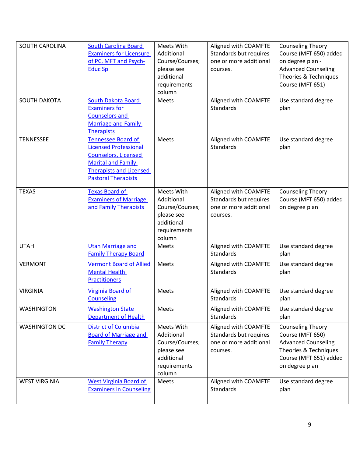| SOUTH CAROLINA<br><b>SOUTH DAKOTA</b> | <b>South Carolina Board</b><br><b>Examiners for Licensure</b><br>of PC, MFT and Psych-<br><b>Educ Sp</b><br><b>South Dakota Board</b><br><b>Examiners for</b><br><b>Counselors and</b><br><b>Marriage and Family</b><br><b>Therapists</b> | Meets With<br>Additional<br>Course/Courses;<br>please see<br>additional<br>requirements<br>column<br>Meets | Aligned with COAMFTE<br>Standards but requires<br>one or more additional<br>courses.<br>Aligned with COAMFTE<br><b>Standards</b> | <b>Counseling Theory</b><br>Course (MFT 650) added<br>on degree plan -<br><b>Advanced Counseling</b><br>Theories & Techniques<br>Course (MFT 651)<br>Use standard degree<br>plan |
|---------------------------------------|-------------------------------------------------------------------------------------------------------------------------------------------------------------------------------------------------------------------------------------------|------------------------------------------------------------------------------------------------------------|----------------------------------------------------------------------------------------------------------------------------------|----------------------------------------------------------------------------------------------------------------------------------------------------------------------------------|
| <b>TENNESSEE</b>                      | <b>Tennessee Board of</b><br><b>Licensed Professional</b><br><b>Counselors, Licensed</b><br><b>Marital and Family</b><br><b>Therapists and Licensed</b><br><b>Pastoral Therapists</b>                                                     | Meets                                                                                                      | Aligned with COAMFTE<br><b>Standards</b>                                                                                         | Use standard degree<br>plan                                                                                                                                                      |
| <b>TEXAS</b>                          | <b>Texas Board of</b><br><b>Examiners of Marriage</b><br>and Family Therapists                                                                                                                                                            | Meets With<br>Additional<br>Course/Courses;<br>please see<br>additional<br>requirements<br>column          | Aligned with COAMFTE<br>Standards but requires<br>one or more additional<br>courses.                                             | <b>Counseling Theory</b><br>Course (MFT 650) added<br>on degree plan                                                                                                             |
| <b>UTAH</b>                           | <b>Utah Marriage and</b><br><b>Family Therapy Board</b>                                                                                                                                                                                   | Meets                                                                                                      | Aligned with COAMFTE<br><b>Standards</b>                                                                                         | Use standard degree<br>plan                                                                                                                                                      |
| <b>VERMONT</b>                        | <b>Vermont Board of Allied</b><br><b>Mental Health</b><br><b>Practitioners</b>                                                                                                                                                            | Meets                                                                                                      | Aligned with COAMFTE<br><b>Standards</b>                                                                                         | Use standard degree<br>plan                                                                                                                                                      |
| <b>VIRGINIA</b>                       | Virginia Board of<br><b>Counseling</b>                                                                                                                                                                                                    | Meets                                                                                                      | Aligned with COAMFTE<br>Standards                                                                                                | Use standard degree<br>plan                                                                                                                                                      |
| <b>WASHINGTON</b>                     | <b>Washington State</b><br><b>Department of Health</b>                                                                                                                                                                                    | Meets                                                                                                      | Aligned with COAMFTE<br><b>Standards</b>                                                                                         | Use standard degree<br>plan                                                                                                                                                      |
| <b>WASHINGTON DC</b>                  | <b>District of Columbia</b><br><b>Board of Marriage and</b><br><b>Family Therapy</b>                                                                                                                                                      | Meets With<br>Additional<br>Course/Courses;<br>please see<br>additional<br>requirements<br>column          | Aligned with COAMFTE<br>Standards but requires<br>one or more additional<br>courses.                                             | <b>Counseling Theory</b><br>Course (MFT 650)<br><b>Advanced Counseling</b><br>Theories & Techniques<br>Course (MFT 651) added<br>on degree plan                                  |
| <b>WEST VIRGINIA</b>                  | <b>West Virginia Board of</b><br><b>Examiners in Counseling</b>                                                                                                                                                                           | Meets                                                                                                      | Aligned with COAMFTE<br><b>Standards</b>                                                                                         | Use standard degree<br>plan                                                                                                                                                      |